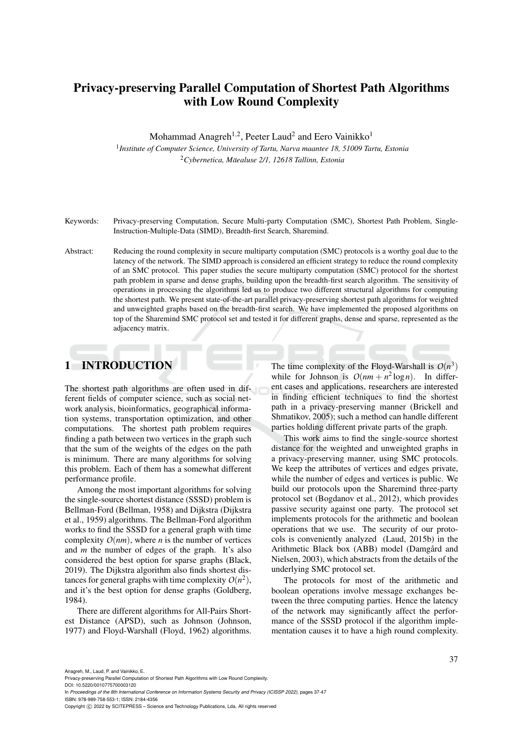# Privacy-preserving Parallel Computation of Shortest Path Algorithms with Low Round Complexity

Mohammad Anagreh<sup>1,2</sup>, Peeter Laud<sup>2</sup> and Eero Vainikko<sup>1</sup>

1 *Institute of Computer Science, University of Tartu, Narva maantee 18, 51009 Tartu, Estonia* <sup>2</sup>*Cybernetica, Maealuse 2/1, 12618 Tallinn, Estonia ¨*

Keywords: Privacy-preserving Computation, Secure Multi-party Computation (SMC), Shortest Path Problem, Single-Instruction-Multiple-Data (SIMD), Breadth-first Search, Sharemind.

Abstract: Reducing the round complexity in secure multiparty computation (SMC) protocols is a worthy goal due to the latency of the network. The SIMD approach is considered an efficient strategy to reduce the round complexity of an SMC protocol. This paper studies the secure multiparty computation (SMC) protocol for the shortest path problem in sparse and dense graphs, building upon the breadth-first search algorithm. The sensitivity of operations in processing the algorithms led us to produce two different structural algorithms for computing the shortest path. We present state-of-the-art parallel privacy-preserving shortest path algorithms for weighted and unweighted graphs based on the breadth-first search. We have implemented the proposed algorithms on top of the Sharemind SMC protocol set and tested it for different graphs, dense and sparse, represented as the adjacency matrix.

## 1 INTRODUCTION

The shortest path algorithms are often used in different fields of computer science, such as social network analysis, bioinformatics, geographical information systems, transportation optimization, and other computations. The shortest path problem requires finding a path between two vertices in the graph such that the sum of the weights of the edges on the path is minimum. There are many algorithms for solving this problem. Each of them has a somewhat different performance profile.

Among the most important algorithms for solving the single-source shortest distance (SSSD) problem is Bellman-Ford (Bellman, 1958) and Dijkstra (Dijkstra et al., 1959) algorithms. The Bellman-Ford algorithm works to find the SSSD for a general graph with time complexity  $O(nm)$ , where *n* is the number of vertices and *m* the number of edges of the graph. It's also considered the best option for sparse graphs (Black, 2019). The Dijkstra algorithm also finds shortest distances for general graphs with time complexity  $O(n^2)$ , and it's the best option for dense graphs (Goldberg, 1984).

There are different algorithms for All-Pairs Shortest Distance (APSD), such as Johnson (Johnson, 1977) and Floyd-Warshall (Floyd, 1962) algorithms.

The time complexity of the Floyd-Warshall is  $O(n^3)$ while for Johnson is  $O(nm + n^2 \log n)$ . In different cases and applications, researchers are interested in finding efficient techniques to find the shortest path in a privacy-preserving manner (Brickell and Shmatikov, 2005); such a method can handle different parties holding different private parts of the graph.

This work aims to find the single-source shortest distance for the weighted and unweighted graphs in a privacy-preserving manner, using SMC protocols. We keep the attributes of vertices and edges private. while the number of edges and vertices is public. We build our protocols upon the Sharemind three-party protocol set (Bogdanov et al., 2012), which provides passive security against one party. The protocol set implements protocols for the arithmetic and boolean operations that we use. The security of our protocols is conveniently analyzed (Laud, 2015b) in the Arithmetic Black box (ABB) model (Damgård and Nielsen, 2003), which abstracts from the details of the underlying SMC protocol set.

The protocols for most of the arithmetic and boolean operations involve message exchanges between the three computing parties. Hence the latency of the network may significantly affect the performance of the SSSD protocol if the algorithm implementation causes it to have a high round complexity.

Anagreh, M., Laud, P. and Vainikko, E.

Privacy-preserving Parallel Computation of Shortest Path Algorithms with Low Round Complexity.

DOI: 10.5220/0010775700003120

In *Proceedings of the 8th International Conference on Information Systems Security and Privacy (ICISSP 2022)*, pages 37-47 ISBN: 978-989-758-553-1; ISSN: 2184-4356

Copyright (C) 2022 by SCITEPRESS - Science and Technology Publications, Lda. All rights reserved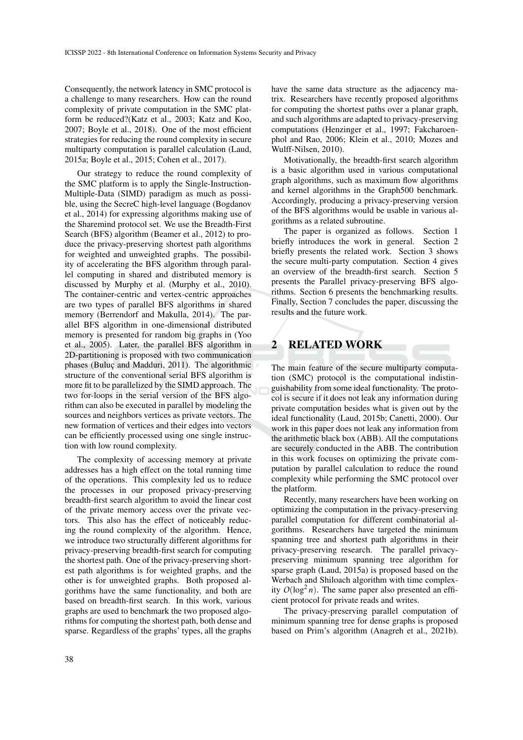Consequently, the network latency in SMC protocol is a challenge to many researchers. How can the round complexity of private computation in the SMC platform be reduced?(Katz et al., 2003; Katz and Koo, 2007; Boyle et al., 2018). One of the most efficient strategies for reducing the round complexity in secure multiparty computation is parallel calculation (Laud, 2015a; Boyle et al., 2015; Cohen et al., 2017).

Our strategy to reduce the round complexity of the SMC platform is to apply the Single-Instruction-Multiple-Data (SIMD) paradigm as much as possible, using the SecreC high-level language (Bogdanov et al., 2014) for expressing algorithms making use of the Sharemind protocol set. We use the Breadth-First Search (BFS) algorithm (Beamer et al., 2012) to produce the privacy-preserving shortest path algorithms for weighted and unweighted graphs. The possibility of accelerating the BFS algorithm through parallel computing in shared and distributed memory is discussed by Murphy et al. (Murphy et al., 2010). The container-centric and vertex-centric approaches are two types of parallel BFS algorithms in shared memory (Berrendorf and Makulla, 2014). The parallel BFS algorithm in one-dimensional distributed memory is presented for random big graphs in (Yoo et al., 2005). Later, the parallel BFS algorithm in 2D-partitioning is proposed with two communication phases (Buluc and Madduri, 2011). The algorithmic structure of the conventional serial BFS algorithm is more fit to be parallelized by the SIMD approach. The two for-loops in the serial version of the BFS algorithm can also be executed in parallel by modeling the sources and neighbors vertices as private vectors. The new formation of vertices and their edges into vectors can be efficiently processed using one single instruction with low round complexity.

The complexity of accessing memory at private addresses has a high effect on the total running time of the operations. This complexity led us to reduce the processes in our proposed privacy-preserving breadth-first search algorithm to avoid the linear cost of the private memory access over the private vectors. This also has the effect of noticeably reducing the round complexity of the algorithm. Hence, we introduce two structurally different algorithms for privacy-preserving breadth-first search for computing the shortest path. One of the privacy-preserving shortest path algorithms is for weighted graphs, and the other is for unweighted graphs. Both proposed algorithms have the same functionality, and both are based on breadth-first search. In this work, various graphs are used to benchmark the two proposed algorithms for computing the shortest path, both dense and sparse. Regardless of the graphs' types, all the graphs

have the same data structure as the adjacency matrix. Researchers have recently proposed algorithms for computing the shortest paths over a planar graph, and such algorithms are adapted to privacy-preserving computations (Henzinger et al., 1997; Fakcharoenphol and Rao, 2006; Klein et al., 2010; Mozes and Wulff-Nilsen, 2010).

Motivationally, the breadth-first search algorithm is a basic algorithm used in various computational graph algorithms, such as maximum flow algorithms and kernel algorithms in the Graph500 benchmark. Accordingly, producing a privacy-preserving version of the BFS algorithms would be usable in various algorithms as a related subroutine.

The paper is organized as follows. Section 1 briefly introduces the work in general. Section 2 briefly presents the related work. Section 3 shows the secure multi-party computation. Section 4 gives an overview of the breadth-first search. Section 5 presents the Parallel privacy-preserving BFS algorithms. Section 6 presents the benchmarking results. Finally, Section 7 concludes the paper, discussing the results and the future work.

# 2 RELATED WORK

The main feature of the secure multiparty computation (SMC) protocol is the computational indistinguishability from some ideal functionality. The protocol is secure if it does not leak any information during private computation besides what is given out by the ideal functionality (Laud, 2015b; Canetti, 2000). Our work in this paper does not leak any information from the arithmetic black box (ABB). All the computations are securely conducted in the ABB. The contribution in this work focuses on optimizing the private computation by parallel calculation to reduce the round complexity while performing the SMC protocol over the platform.

Recently, many researchers have been working on optimizing the computation in the privacy-preserving parallel computation for different combinatorial algorithms. Researchers have targeted the minimum spanning tree and shortest path algorithms in their privacy-preserving research. The parallel privacypreserving minimum spanning tree algorithm for sparse graph (Laud, 2015a) is proposed based on the Werbach and Shiloach algorithm with time complexity  $O(\log^2 n)$ . The same paper also presented an efficient protocol for private reads and writes.

The privacy-preserving parallel computation of minimum spanning tree for dense graphs is proposed based on Prim's algorithm (Anagreh et al., 2021b).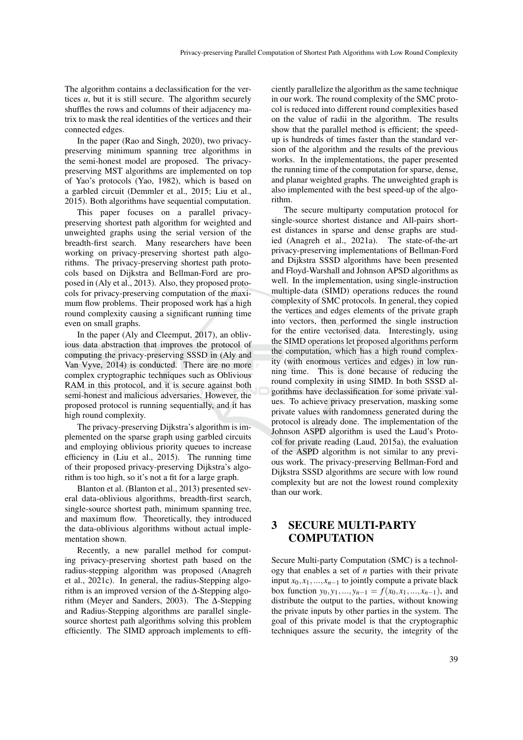The algorithm contains a declassification for the vertices *u*, but it is still secure. The algorithm securely shuffles the rows and columns of their adjacency matrix to mask the real identities of the vertices and their connected edges.

In the paper (Rao and Singh, 2020), two privacypreserving minimum spanning tree algorithms in the semi-honest model are proposed. The privacypreserving MST algorithms are implemented on top of Yao's protocols (Yao, 1982), which is based on a garbled circuit (Demmler et al., 2015; Liu et al., 2015). Both algorithms have sequential computation.

This paper focuses on a parallel privacypreserving shortest path algorithm for weighted and unweighted graphs using the serial version of the breadth-first search. Many researchers have been working on privacy-preserving shortest path algorithms. The privacy-preserving shortest path protocols based on Dijkstra and Bellman-Ford are proposed in (Aly et al., 2013). Also, they proposed protocols for privacy-preserving computation of the maximum flow problems. Their proposed work has a high round complexity causing a significant running time even on small graphs.

In the paper (Aly and Cleemput, 2017), an oblivious data abstraction that improves the protocol of computing the privacy-preserving SSSD in (Aly and Van Vyve, 2014) is conducted. There are no more complex cryptographic techniques such as Oblivious RAM in this protocol, and it is secure against both semi-honest and malicious adversaries. However, the proposed protocol is running sequentially, and it has high round complexity.

The privacy-preserving Dijkstra's algorithm is implemented on the sparse graph using garbled circuits and employing oblivious priority queues to increase efficiency in (Liu et al., 2015). The running time of their proposed privacy-preserving Dijkstra's algorithm is too high, so it's not a fit for a large graph.

Blanton et al. (Blanton et al., 2013) presented several data-oblivious algorithms, breadth-first search, single-source shortest path, minimum spanning tree, and maximum flow. Theoretically, they introduced the data-oblivious algorithms without actual implementation shown.

Recently, a new parallel method for computing privacy-preserving shortest path based on the radius-stepping algorithm was proposed (Anagreh et al., 2021c). In general, the radius-Stepping algorithm is an improved version of the ∆-Stepping algorithm (Meyer and Sanders, 2003). The ∆-Stepping and Radius-Stepping algorithms are parallel singlesource shortest path algorithms solving this problem efficiently. The SIMD approach implements to efficiently parallelize the algorithm as the same technique in our work. The round complexity of the SMC protocol is reduced into different round complexities based on the value of radii in the algorithm. The results show that the parallel method is efficient; the speedup is hundreds of times faster than the standard version of the algorithm and the results of the previous works. In the implementations, the paper presented the running time of the computation for sparse, dense, and planar weighted graphs. The unweighted graph is also implemented with the best speed-up of the algorithm.

The secure multiparty computation protocol for single-source shortest distance and All-pairs shortest distances in sparse and dense graphs are studied (Anagreh et al., 2021a). The state-of-the-art privacy-preserving implementations of Bellman-Ford and Dijkstra SSSD algorithms have been presented and Floyd-Warshall and Johnson APSD algorithms as well. In the implementation, using single-instruction multiple-data (SIMD) operations reduces the round complexity of SMC protocols. In general, they copied the vertices and edges elements of the private graph into vectors, then performed the single instruction for the entire vectorised data. Interestingly, using the SIMD operations let proposed algorithms perform the computation, which has a high round complexity (with enormous vertices and edges) in low running time. This is done because of reducing the round complexity in using SIMD. In both SSSD algorithms have declassification for some private values. To achieve privacy preservation, masking some private values with randomness generated during the protocol is already done. The implementation of the Johnson ASPD algorithm is used the Laud's Protocol for private reading (Laud, 2015a), the evaluation of the ASPD algorithm is not similar to any previous work. The privacy-preserving Bellman-Ford and Dijkstra SSSD algorithms are secure with low round complexity but are not the lowest round complexity than our work.

## 3 SECURE MULTI-PARTY **COMPUTATION**

Secure Multi-party Computation (SMC) is a technology that enables a set of *n* parties with their private input  $x_0, x_1, \ldots, x_{n-1}$  to jointly compute a private black box function  $y_0, y_1, \ldots, y_{n-1} = f(x_0, x_1, \ldots, x_{n-1})$ , and distribute the output to the parties, without knowing the private inputs by other parties in the system. The goal of this private model is that the cryptographic techniques assure the security, the integrity of the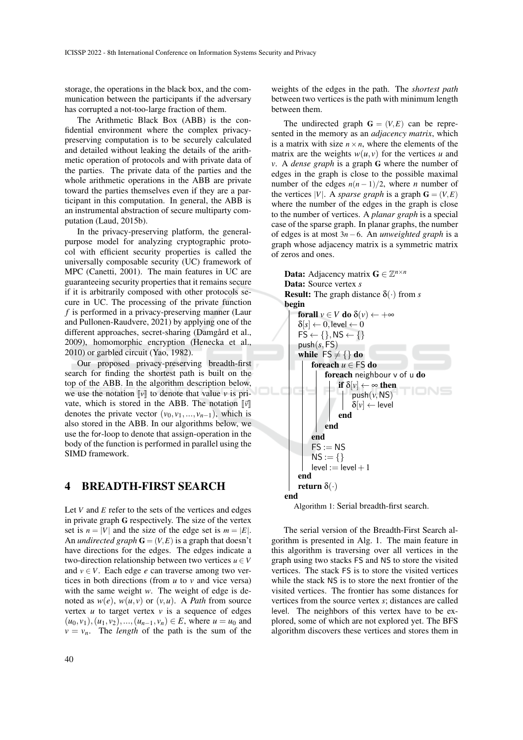storage, the operations in the black box, and the communication between the participants if the adversary has corrupted a not-too-large fraction of them.

The Arithmetic Black Box (ABB) is the confidential environment where the complex privacypreserving computation is to be securely calculated and detailed without leaking the details of the arithmetic operation of protocols and with private data of the parties. The private data of the parties and the whole arithmetic operations in the ABB are private toward the parties themselves even if they are a participant in this computation. In general, the ABB is an instrumental abstraction of secure multiparty computation (Laud, 2015b).

In the privacy-preserving platform, the generalpurpose model for analyzing cryptographic protocol with efficient security properties is called the universally composable security (UC) framework of MPC (Canetti, 2001). The main features in UC are guaranteeing security properties that it remains secure if it is arbitrarily composed with other protocols secure in UC. The processing of the private function *f* is performed in a privacy-preserving manner (Laur and Pullonen-Raudvere, 2021) by applying one of the different approaches, secret-sharing (Damgård et al., 2009), homomorphic encryption (Henecka et al., 2010) or garbled circuit (Yao, 1982).

Our proposed privacy-preserving breadth-first search for finding the shortest path is built on the top of the ABB. In the algorithm description below, we use the notation  $\llbracket v \rrbracket$  to denote that value *v* is private, which is stored in the ABB. The notation  $\llbracket \vec{v} \rrbracket$ denotes the private vector  $(v_0, v_1, \ldots, v_{n-1})$ , which is also stored in the ABB. In our algorithms below, we use the for-loop to denote that assign-operation in the body of the function is performed in parallel using the SIMD framework.

### 4 BREADTH-FIRST SEARCH

Let *V* and *E* refer to the sets of the vertices and edges in private graph G respectively. The size of the vertex set is  $n = |V|$  and the size of the edge set is  $m = |E|$ . An *undirected graph*  $\mathbf{G} = (V, E)$  is a graph that doesn't have directions for the edges. The edges indicate a two-direction relationship between two vertices  $u \in V$ and  $v \in V$ . Each edge *e* can traverse among two vertices in both directions (from *u* to *v* and vice versa) with the same weight *w*. The weight of edge is denoted as  $w(e)$ ,  $w(u, v)$  or  $(v, u)$ . A *Path* from source vertex  $u$  to target vertex  $v$  is a sequence of edges  $(u_0, v_1), (u_1, v_2), ..., (u_{n-1}, v_n) \in E$ , where  $u = u_0$  and  $v = v_n$ . The *length* of the path is the sum of the

The undirected graph  $G = (V, E)$  can be represented in the memory as an *adjacency matrix*, which is a matrix with size  $n \times n$ , where the elements of the matrix are the weights  $w(u, v)$  for the vertices *u* and *v*. A *dense graph* is a graph G where the number of edges in the graph is close to the possible maximal number of the edges  $n(n-1)/2$ , where *n* number of the vertices |*V*|. A *sparse graph* is a graph  $G = (V, E)$ where the number of the edges in the graph is close to the number of vertices. A *planar graph* is a special case of the sparse graph. In planar graphs, the number of edges is at most 3*n*−6. An *unweighted graph* is a graph whose adjacency matrix is a symmetric matrix of zeros and ones.



The serial version of the Breadth-First Search algorithm is presented in Alg. 1. The main feature in this algorithm is traversing over all vertices in the graph using two stacks FS and NS to store the visited vertices. The stack FS is to store the visited vertices while the stack NS is to store the next frontier of the visited vertices. The frontier has some distances for vertices from the source vertex *s*; distances are called level. The neighbors of this vertex have to be explored, some of which are not explored yet. The BFS algorithm discovers these vertices and stores them in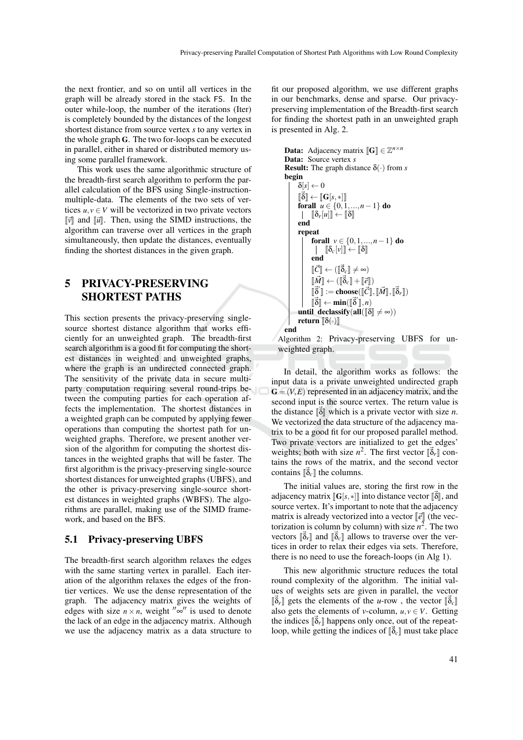the next frontier, and so on until all vertices in the graph will be already stored in the stack FS. In the outer while-loop, the number of the iterations (Iter) is completely bounded by the distances of the longest shortest distance from source vertex *s* to any vertex in the whole graph G. The two for-loops can be executed in parallel, either in shared or distributed memory using some parallel framework.

This work uses the same algorithmic structure of the breadth-first search algorithm to perform the parallel calculation of the BFS using Single-instructionmultiple-data. The elements of the two sets of vertices  $u, v \in V$  will be vectorized in two private vectors  $\|\vec{v}\|$  and  $\|\vec{u}\|$ . Then, using the SIMD instructions, the algorithm can traverse over all vertices in the graph simultaneously, then update the distances, eventually finding the shortest distances in the given graph.

## 5 PRIVACY-PRESERVING SHORTEST PATHS

This section presents the privacy-preserving singlesource shortest distance algorithm that works efficiently for an unweighted graph. The breadth-first search algorithm is a good fit for computing the shortest distances in weighted and unweighted graphs, where the graph is an undirected connected graph. The sensitivity of the private data in secure multiparty computation requiring several round-trips between the computing parties for each operation affects the implementation. The shortest distances in a weighted graph can be computed by applying fewer operations than computing the shortest path for unweighted graphs. Therefore, we present another version of the algorithm for computing the shortest distances in the weighted graphs that will be faster. The first algorithm is the privacy-preserving single-source shortest distances for unweighted graphs (UBFS), and the other is privacy-preserving single-source shortest distances in weighted graphs (WBFS). The algorithms are parallel, making use of the SIMD framework, and based on the BFS.

#### 5.1 Privacy-preserving UBFS

The breadth-first search algorithm relaxes the edges with the same starting vertex in parallel. Each iteration of the algorithm relaxes the edges of the frontier vertices. We use the dense representation of the graph. The adjacency matrix gives the weights of edges with size  $n \times n$ , weight  $\sqrt[n]{\infty}$  is used to denote the lack of an edge in the adjacency matrix. Although we use the adjacency matrix as a data structure to

fit our proposed algorithm, we use different graphs in our benchmarks, dense and sparse. Our privacypreserving implementation of the Breadth-first search for finding the shortest path in an unweighted graph is presented in Alg. 2.

```
Data: Adjacency matrix [\![G]\!] \in \mathbb{Z}^{n \times n}<br>Data: Source vertex s
Data: Source vertex s
Result: The graph distance δ(·) from s
begin
            \delta[s] \leftarrow 0forall u \in \{0, 1, ..., n-1\} do
             \|\vec{\delta}\| \leftarrow \|\mathbf{G}[s,*]\|\begin{bmatrix} \delta_r[u] \end{bmatrix} \leftarrow \begin{bmatrix} \delta \end{bmatrix}end
             repeat
                          forall v \in \{0, 1, ..., n-1\} do
                             \begin{bmatrix} \begin{bmatrix} \delta_c[v] \end{bmatrix} \leftarrow \begin{bmatrix} \delta \end{bmatrix}end
                          \begin{bmatrix} \vec{C} \end{bmatrix} \leftarrow (\begin{bmatrix} \vec{\delta}_c \end{bmatrix} \neq \infty)\begin{bmatrix} \vec{M} \end{bmatrix} \leftarrow (\begin{bmatrix} \vec{\delta}_c \end{bmatrix} + \begin{bmatrix} \vec{e} \end{bmatrix})\begin{bmatrix} \vec{\delta} \end{bmatrix} \leftarrow \min(\begin{bmatrix} \vec{\delta}' \end{bmatrix}, n)<br>declessify (ell \begin{bmatrix} \mathbb{R}^2 \end{bmatrix}\begin{bmatrix} \vec{\delta}' \end{bmatrix} := \mathbf{choose}(\vec{\mathcal{C}}), \vec{\mathcal{M}}, \begin{bmatrix} \vec{\delta}_r \end{bmatrix}until declassify(all([\delta] \neq \infty))<br>return [\delta(\cdot)]return [\![\delta(\cdot)]\!]end
```
Algorithm 2: Privacy-preserving UBFS for unweighted graph.

In detail, the algorithm works as follows: the input data is a private unweighted undirected graph  $G = (V, E)$  represented in an adjacency matrix, and the second input is the source vertex. The return value is the distance  $\begin{bmatrix} \vec{\delta} \end{bmatrix}$  which is a private vector with size *n*. We vectorized the data structure of the adjacency matrix to be a good fit for our proposed parallel method. Two private vectors are initialized to get the edges' weights; both with size  $n^2$ . The first vector  $\begin{bmatrix} \vec{b}_r \end{bmatrix}$  contains the rows of the matrix, and the second vector contains  $\left[\vec{\delta}_c\right]$  the columns.

The initial values are, storing the first row in the adjacency matrix  $[\![G[s, *]]\!]$  into distance vector  $[\![\vec{\delta}]\!]$ , and source vector  $[k]$  important to note that the ediaconomy source vertex. It's important to note that the adjacency matrix is already vectorized into a vector  $\lbrack \lbrack \vec{e} \rbrack \rbrack$  (the vectorization is column by column) with size  $n^2$ . The two vectors  $\begin{bmatrix} \vec{\delta}_r \end{bmatrix}$  and  $\begin{bmatrix} \vec{\delta}_c \end{bmatrix}$  allows to traverse over the vertices in order to relax their edges via sets. Therefore, there is no need to use the foreach-loops (in Alg 1).

This new algorithmic structure reduces the total round complexity of the algorithm. The initial values of weights sets are given in parallel, the vector also gets the elements of *v*-column,  $u, v \in V$ . Getting  $[\vec{\delta}_r]$  gets the elements of the *u*-row, the vector  $[\vec{\delta}_c]$ <br>also gets the elements of *u* column  $\mu, \mu \in V$ . Getting the indices  $\left[\vec{\delta}_r\right]$  happens only once, out of the repeat-<br>leap while getting the indices of  $\left[\vec{s}\right]$  must take place loop, while getting the indices of  $[\vec{\delta}_c]$  must take place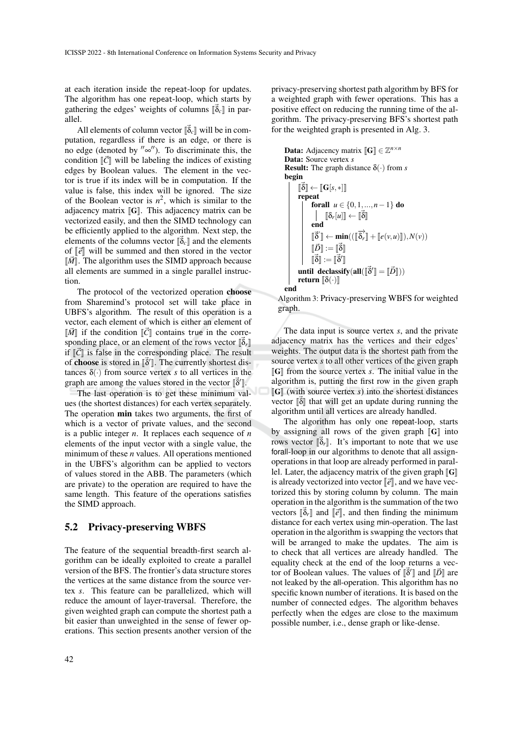at each iteration inside the repeat-loop for updates. The algorithm has one repeat-loop, which starts by gathering the edges' weights of columns  $[\vec{b}_c]$  in parallel.

All elements of column vector  $\left[\vec{\delta}_c\right]$  will be in computation, regardless if there is an edge, or there is no edge (denoted by  $'' \infty''$ ). To discriminate this, the condition  $\|\vec{C}\|$  will be labeling the indices of existing edges by Boolean values. The element in the vector is true if its index will be in computation. If the value is false, this index will be ignored. The size of the Boolean vector is  $n^2$ , which is similar to the adjacency matrix  $\llbracket \mathbf{G} \rrbracket$ . This adjacency matrix can be vectorized easily, and then the SIMD technology can be efficiently applied to the algorithm. Next step, the elements of the columns vector  $\begin{bmatrix} \vec{\delta}_c \end{bmatrix}$  and the elements of  $\begin{bmatrix} \vec{\delta} \end{bmatrix}$  will be summed and then stored in the vector of  $\llbracket \vec{e} \rrbracket$  will be summed and then stored in the vector  $\lbrack \vec{M} \rbrack$ . The algorithm uses the SIMD approach because all elements are summed in a single parallel instruction.

The protocol of the vectorized operation choose from Sharemind's protocol set will take place in UBFS's algorithm. The result of this operation is a vector, each element of which is either an element of  $\Vert \vec{M} \Vert$  if the condition  $\Vert \vec{C} \Vert$  contains true in the corresponding place, or an element of the rows vector  $\left\lbrack \vec{\delta}_{r}\right\rbrack$  is false in the corresponding place. The result if  $\|\vec{C}\|$  is false in the corresponding place. The result of **choose** is stored in  $\left[\vec{\delta}\right]$ . The currently shortest distances  $\delta(\cdot)$  from source vertex *s* to all vertices in the graph are among the values stored in the vector  $\left[\vec{8}\right]$ .

The last operation is to get these minimum values (the shortest distances) for each vertex separately. The operation **min** takes two arguments, the first of which is a vector of private values, and the second is a public integer *n*. It replaces each sequence of *n* elements of the input vector with a single value, the minimum of these *n* values. All operations mentioned in the UBFS's algorithm can be applied to vectors of values stored in the ABB. The parameters (which are private) to the operation are required to have the same length. This feature of the operations satisfies the SIMD approach.

#### 5.2 Privacy-preserving WBFS

The feature of the sequential breadth-first search algorithm can be ideally exploited to create a parallel version of the BFS. The frontier's data structure stores the vertices at the same distance from the source vertex *s*. This feature can be parallelized, which will reduce the amount of layer-traversal. Therefore, the given weighted graph can compute the shortest path a bit easier than unweighted in the sense of fewer operations. This section presents another version of the privacy-preserving shortest path algorithm by BFS for a weighted graph with fewer operations. This has a positive effect on reducing the running time of the algorithm. The privacy-preserving BFS's shortest path for the weighted graph is presented in Alg. 3.

```
Data: Adjacency matrix [\![\mathbf{G}]\!] \in \mathbb{Z}^{n \times n}<br>Data: Source vertex s
Data: Source vertex s
Result: The graph distance δ(·) from s
begin
             ⊪~』<br>repeat
             \|\vec{\delta}\| \leftarrow \|\mathbf{G}[s,*]\|forall u \in \{0, 1, ..., n-1\} do
                                       \llbracket \delta_r[u] \rrbracket \leftarrow \llbracket \vec{\delta} \rrbracketend
                          \begin{bmatrix} \vec{D} \end{bmatrix} := \begin{bmatrix} \vec{\delta} \end{bmatrix}\overline{\mathbb{R}}^{\vec{\delta}'} \llbracket \leftarrow \min_{\pi \vec{\delta}^n} ((\llbracket \overline{\delta}_r \rrbracket + \llbracket e(v, u) \rrbracket), N(v))until declassify(all(\begin{bmatrix} \vec{\delta}' \end{bmatrix} = \begin{bmatrix} \vec{D} \end{bmatrix}))<br>return \begin{bmatrix} \delta(\cdot) \end{bmatrix}\lbrack \vec{\delta} \rbrack := \lbrack \lbrack \vec{\delta}' \rbrackreturn \llbracket \delta(\cdot) \rrbracketend
```
Algorithm 3: Privacy-preserving WBFS for weighted graph.

The data input is source vertex *s*, and the private adjacency matrix has the vertices and their edges' weights. The output data is the shortest path from the source vertex *s* to all other vertices of the given graph  $\llbracket G \rrbracket$  from the source vertex *s*. The initial value in the algorithm is, putting the first row in the given graph  $\llbracket G \rrbracket$  (with source vertex *s*) into the shortest distances vector  $\begin{bmatrix} \vec{\delta} \end{bmatrix}$  that will get an update during running the algorithm until all vertices are algoredy handled. algorithm until all vertices are already handled.

The algorithm has only one repeat-loop, starts by assigning all rows of the given graph  $\llbracket G \rrbracket$  into rows vector  $\left[\vec{\delta}_r\right]$ . It's important to note that we use forall-loop in our algorithms to denote that all assignoperations in that loop are already performed in parallel. Later, the adjacency matrix of the given graph  $\|G\|$ is already vectorized into vector  $\llbracket \vec{e} \rrbracket$ , and we have vectorized this by storing column by column. The main operation in the algorithm is the summation of the two vectors  $\begin{bmatrix} \vec{\delta}_r \end{bmatrix}$  and  $\begin{bmatrix} \vec{e} \end{bmatrix}$ , and then finding the minimum<br>distance for each vertex using min operation. The last distance for each vertex using min-operation. The last operation in the algorithm is swapping the vectors that will be arranged to make the updates. The aim is to check that all vertices are already handled. The equality check at the end of the loop returns a vector of Boolean values. The values of  $\vec{B}$ <sup>*'*'</sup> and  $\vec{D}$ <sup>'</sup> are not leaked by the all operation. This algorithm has no not leaked by the all-operation. This algorithm has no specific known number of iterations. It is based on the number of connected edges. The algorithm behaves perfectly when the edges are close to the maximum possible number, i.e., dense graph or like-dense.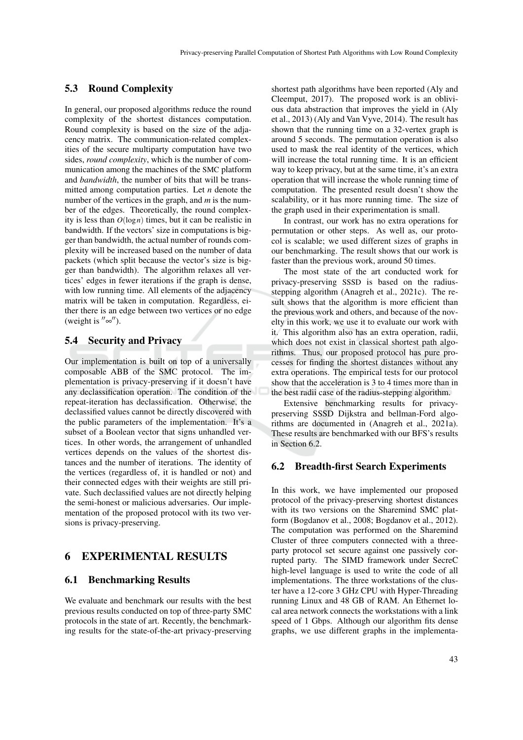#### 5.3 Round Complexity

In general, our proposed algorithms reduce the round complexity of the shortest distances computation. Round complexity is based on the size of the adjacency matrix. The communication-related complexities of the secure multiparty computation have two sides, *round complexity*, which is the number of communication among the machines of the SMC platform and *bandwidth*, the number of bits that will be transmitted among computation parties. Let *n* denote the number of the vertices in the graph, and *m* is the number of the edges. Theoretically, the round complexity is less than  $O(\log n)$  times, but it can be realistic in bandwidth. If the vectors' size in computations is bigger than bandwidth, the actual number of rounds complexity will be increased based on the number of data packets (which split because the vector's size is bigger than bandwidth). The algorithm relaxes all vertices' edges in fewer iterations if the graph is dense, with low running time. All elements of the adjacency matrix will be taken in computation. Regardless, either there is an edge between two vertices or no edge (weight is  $^{\prime\prime}$ ∞ $^{\prime\prime}$ ).

#### 5.4 Security and Privacy

Our implementation is built on top of a universally composable ABB of the SMC protocol. The implementation is privacy-preserving if it doesn't have any declassification operation. The condition of the repeat-iteration has declassification. Otherwise, the declassified values cannot be directly discovered with the public parameters of the implementation. It's a subset of a Boolean vector that signs unhandled vertices. In other words, the arrangement of unhandled vertices depends on the values of the shortest distances and the number of iterations. The identity of the vertices (regardless of, it is handled or not) and their connected edges with their weights are still private. Such declassified values are not directly helping the semi-honest or malicious adversaries. Our implementation of the proposed protocol with its two versions is privacy-preserving.

### 6 EXPERIMENTAL RESULTS

#### 6.1 Benchmarking Results

We evaluate and benchmark our results with the best previous results conducted on top of three-party SMC protocols in the state of art. Recently, the benchmarking results for the state-of-the-art privacy-preserving

shortest path algorithms have been reported (Aly and Cleemput, 2017). The proposed work is an oblivious data abstraction that improves the yield in (Aly et al., 2013) (Aly and Van Vyve, 2014). The result has shown that the running time on a 32-vertex graph is around 5 seconds. The permutation operation is also used to mask the real identity of the vertices, which will increase the total running time. It is an efficient way to keep privacy, but at the same time, it's an extra operation that will increase the whole running time of computation. The presented result doesn't show the scalability, or it has more running time. The size of the graph used in their experimentation is small.

In contrast, our work has no extra operations for permutation or other steps. As well as, our protocol is scalable; we used different sizes of graphs in our benchmarking. The result shows that our work is faster than the previous work, around 50 times.

The most state of the art conducted work for privacy-preserving SSSD is based on the radiusstepping algorithm (Anagreh et al., 2021c). The result shows that the algorithm is more efficient than the previous work and others, and because of the novelty in this work, we use it to evaluate our work with it. This algorithm also has an extra operation, radii, which does not exist in classical shortest path algorithms. Thus, our proposed protocol has pure processes for finding the shortest distances without any extra operations. The empirical tests for our protocol show that the acceleration is 3 to 4 times more than in the best radii case of the radius-stepping algorithm.

Extensive benchmarking results for privacypreserving SSSD Dijkstra and bellman-Ford algorithms are documented in (Anagreh et al., 2021a). These results are benchmarked with our BFS's results in Section 6.2.

#### 6.2 Breadth-first Search Experiments

In this work, we have implemented our proposed protocol of the privacy-preserving shortest distances with its two versions on the Sharemind SMC platform (Bogdanov et al., 2008; Bogdanov et al., 2012). The computation was performed on the Sharemind Cluster of three computers connected with a threeparty protocol set secure against one passively corrupted party. The SIMD framework under SecreC high-level language is used to write the code of all implementations. The three workstations of the cluster have a 12-core 3 GHz CPU with Hyper-Threading running Linux and 48 GB of RAM. An Ethernet local area network connects the workstations with a link speed of 1 Gbps. Although our algorithm fits dense graphs, we use different graphs in the implementa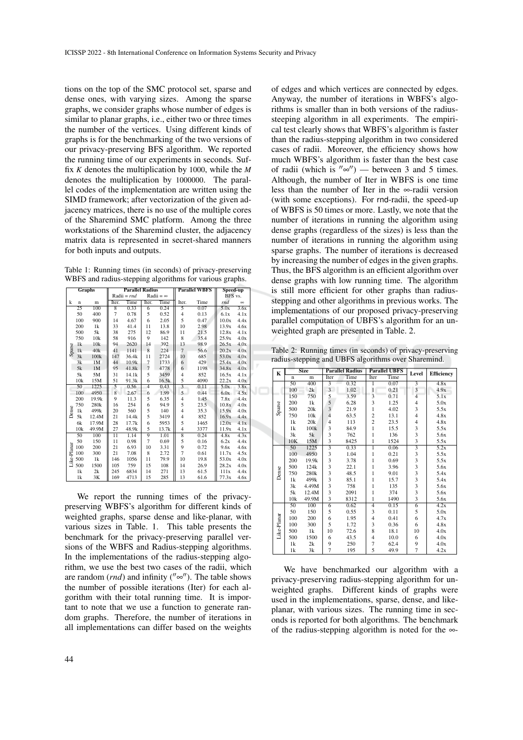tions on the top of the SMC protocol set, sparse and dense ones, with varying sizes. Among the sparse graphs, we consider graphs whose number of edges is similar to planar graphs, i.e., either two or three times the number of the vertices. Using different kinds of graphs is for the benchmarking of the two versions of our privacy-preserving BFS algorithm. We reported the running time of our experiments in seconds. Suffix *K* denotes the multiplication by 1000, while the *M* denotes the multiplication by 1000000. The parallel codes of the implementation are written using the SIMD framework; after vectorization of the given adjacency matrices, there is no use of the multiple cores of the Sharemind SMC platform. Among the three workstations of the Sharemind cluster, the adjacency matrix data is represented in secret-shared manners for both inputs and outputs.

Table 1: Running times (in seconds) of privacy-preserving WBFS and radius-stepping algorithms for various graphs.

| Graphs      |                 | <b>Parallel Radius</b> |                 |       |                  | <b>Parallel WBFS</b> |                | Speed-up |         |          |
|-------------|-----------------|------------------------|-----------------|-------|------------------|----------------------|----------------|----------|---------|----------|
|             |                 |                        | $Radii = rnd$   |       | Radii = $\infty$ |                      |                |          | BFS vs. |          |
| k           | $\mathbf n$     | m                      | Iter.           | Time  | Iter.            | Time                 | Iter.          | Time     | rnd     | $\infty$ |
| Sparse      | $\overline{25}$ | 100                    | $\overline{8}$  | 0.33  | $\overline{6}$   | 0.24                 | $\overline{5}$ | 0.07     | 5.0x    | 3.6x     |
|             | 50              | 400                    | $\overline{7}$  | 0.78  | 5                | 0.52                 | $\overline{4}$ | 0.13     | 6.1x    | 4.1x     |
|             | 100             | 900                    | 14              | 4.67  | 6                | 2.05                 | 5              | 0.47     | 10.0x   | 4.4x     |
|             | 200             | 1k                     | 33              | 41.4  | 11               | 13.8                 | 10             | 2.98     | 13.9x   | 4.6x     |
|             | 500             | 5k                     | 38              | 275   | 12               | 86.9                 | 11             | 21.5     | 12.8x   | 4.1x     |
|             | 750             | 10k                    | 58              | 916   | 9                | 142                  | 8              | 35.4     | 25.9x   | 4.0x     |
|             | 1k              | 10k                    | 94              | 2620  | 14               | 392                  | 13             | 98.9     | 26.5x   | 4.0x     |
|             | 1k              | 40k                    | 41              | 1141  | 8                | 224                  | $\overline{7}$ | 56.6     | 20.2x   | 4.0x     |
|             | 3k              | 100 <sub>k</sub>       | 147             | 36.4k | 11               | 2724                 | 10             | 685      | 53.0x   | 4.0x     |
|             | 3k              | 1M                     | 44              | 10.9k | $\overline{7}$   | 1733                 | 6              | 429      | 25.4x   | 4.0x     |
|             | 5k              | 1M                     | 95              | 41.8k | $\overline{7}$   | 4778                 | 6              | 1198     | 34.8x   | 4.0x     |
|             | 5k              | 5M                     | 31              | 14.1k | 5                | 3459                 | $\overline{4}$ | 852      | 16.5x   | 4.1x     |
|             | 10k             | 15M                    | 51              | 91.3k | 6                | 16.5k                | 5              | 4090     | 22.2x   | 4.0x     |
|             | 50              | 1225                   | 5               | 0.56  | $\overline{4}$   | 0.43                 | $\overline{3}$ | 0.11     | 5.0x    | 3.8x     |
|             | 100             | 4950                   | 8               | 2.67  | 6                | 1.99                 | 5              | 0.44     | 6.0x    | 4.5x     |
|             | 200             | 19.9k                  | 9               | 11.3  | 5                | 6.35                 | $\overline{4}$ | 1.45     | 7.8x    | 4.4x     |
|             | 750             | 280 <sub>k</sub>       | 16              | 254   | 6                | 94.9                 | 5              | 23.5     | 10.8x   | 4.0x     |
| Dense       | 1k              | 499k                   | 20              | 560   | 5                | 140                  | $\overline{4}$ | 35.3     | 15.9x   | 4.0x     |
|             | 5k              | 12.4M                  | 21              | 14.4k | 5                | 3419                 | $\overline{4}$ | 852      | 16.9x   | 4.4x     |
|             | 6k              | 17.9M                  | 28              | 17.7k | 6                | 5953                 | 5              | 1465     | 12.0x   | 4.1x     |
|             | 10k             | 49.9M                  | 27              | 48.9k | 5                | 13.7k                | $\overline{4}$ | 3377     | 11.9x   | 4.1x     |
|             | 50              | 100                    | $\overline{11}$ | 1.14  | $\overline{9}$   | 1.01                 | 8              | 0.24     | 4.8x    | 4.3x     |
| Like-Planar | 50              | 150                    | 11              | 0.98  | 7                | 0.69                 | 5              | 0.16     | 6.2x    | 4.4x     |
|             | 100             | 200                    | 21              | 6.93  | 10               | 3.31                 | 9              | 0.72     | 9.6x    | 4.6x     |
|             | 100             | 300                    | 21              | 7.08  | 8                | 2.72                 | $\overline{7}$ | 0.61     | 11.7x   | 4.5x     |
|             | 500             | 1k                     | 146             | 1056  | 11               | 79.9                 | 10             | 19.8     | 53.0x   | 4.0x     |
|             | 500             | 1500                   | 105             | 759   | 15               | 108                  | 14             | 26.9     | 28.2x   | 4.0x     |
|             | 1 <sup>k</sup>  | 2k                     | 245             | 6834  | 14               | 271                  | 13             | 61.5     | 111x    | 4.4x     |
|             | 1k              | 3K                     | 169             | 4713  | 15               | 285                  | 13             | 61.6     | 77.3x   | 4.6x     |

We report the running times of the privacypreserving WBFS's algorithm for different kinds of weighted graphs, sparse dense and like-planar, with various sizes in Table. 1. This table presents the benchmark for the privacy-preserving parallel versions of the WBFS and Radius-stepping algorithms. In the implementations of the radius-stepping algorithm, we use the best two cases of the radii, which are random  $(rnd)$  and infinity  $($ " $\infty$ "). The table shows the number of possible iterations (Iter) for each algorithm with their total running time. It is important to note that we use a function to generate random graphs. Therefore, the number of iterations in all implementations can differ based on the weights

of edges and which vertices are connected by edges. Anyway, the number of iterations in WBFS's algorithms is smaller than in both versions of the radiussteeping algorithm in all experiments. The empirical test clearly shows that WBFS's algorithm is faster than the radius-stepping algorithm in two considered cases of radii. Moreover, the efficiency shows how much WBFS's algorithm is faster than the best case of radii (which is  $\sqrt[n]{\infty}$ ) — between 3 and 5 times. Although, the number of Iter in WBFS is one time less than the number of Iter in the ∞-radii version (with some exceptions). For rnd-radii, the speed-up of WBFS is 50 times or more. Lastly, we note that the number of iterations in running the algorithm using dense graphs (regardless of the sizes) is less than the number of iterations in running the algorithm using sparse graphs. The number of iterations is decreased by increasing the number of edges in the given graphs. Thus, the BFS algorithm is an efficient algorithm over dense graphs with low running time. The algorithm is still more efficient for other graphs than radiusstepping and other algorithms in previous works. The implementations of our proposed privacy-preserving parallel computation of UBFS's algorithm for an unweighted graph are presented in Table. 2.

Table 2: Running times (in seconds) of privacy-preserving radius-stepping and UBFS algorithms over Sharemind.

| K           |             | <b>Size</b> | <b>Parallel Radius</b>  |      |                         | <b>Parallel UBFS</b> | Level                   | <b>Efficiency</b> |  |
|-------------|-------------|-------------|-------------------------|------|-------------------------|----------------------|-------------------------|-------------------|--|
|             | $\mathbf n$ | m           | Iter                    | Time | Iter                    | Time                 |                         |                   |  |
| Sparse      | 50          | 400         | 3                       | 0.32 | 1                       | 0.07                 |                         | 4.8x              |  |
|             | 100         | 2k          | 3                       | 1.02 | $\overline{1}$          | 0.21                 | 3                       | 4.9x              |  |
|             | 150         | 750         | 5                       | 3.59 | $\overline{\mathbf{3}}$ | 0.71                 | $\overline{4}$          | 5.1x              |  |
|             | 200         | 1k          | 5                       | 6.28 | 3                       | 1.25                 | $\overline{4}$          | 5.0x              |  |
|             | 500         | 20k         | $\overline{3}$          | 21.9 | 1                       | 4.02                 | 3                       | 5.5x              |  |
|             | 750         | 10k         | $\overline{4}$          | 63.5 | $\overline{c}$          | 13.1                 | $\overline{4}$          | 4.8x              |  |
|             | 1k          | 20k         | $\overline{4}$          | 113  | $\overline{c}$          | 23.5                 | $\overline{4}$          | 4.8x              |  |
|             | 1k          | 100k        | 3                       | 84.9 | 1                       | 15.5                 | 3                       | 5.5x              |  |
|             | 3k          | 5k          | 3                       | 762  | 1                       | 136                  | 3                       | 5.6x              |  |
|             | 10K         | 15M         | $\overline{\mathbf{3}}$ | 8425 | 1                       | 1524                 | 3                       | 5.5x              |  |
|             | 50          | 1225        |                         | 0.33 | 1                       | 0.06                 |                         | 5.2x              |  |
| Dense       | 100         | 4950        | $\overline{3}$          | 1.04 | 1                       | 0.21                 | 3                       | 5.5x              |  |
|             | 200         | 19.9k       | 3                       | 3.78 | 1                       | 0.69                 | 3                       | 5.5x              |  |
|             | 500         | 124k        | $\overline{3}$          | 22.1 | 1                       | 3.96                 | $\overline{\mathbf{3}}$ | 5.6x              |  |
|             | 750         | 280k        | 3                       | 48.5 | 1                       | 9.01                 | 3                       | 5.4x              |  |
|             | 1k          | 499k        | 3                       | 85.1 | 1                       | 15.7                 | 3                       | 5.4x              |  |
|             | 3k          | 4.49M       | 3                       | 758  | 1                       | 135                  | $\overline{\mathbf{3}}$ | 5.6x              |  |
|             | 5k          | 12.4M       | $\overline{\mathbf{3}}$ | 2091 | 1                       | 374                  | 3                       | 5.6x              |  |
|             | 10k         | 49.9M       | $\overline{\mathbf{3}}$ | 8312 | 1                       | 1490                 | 3                       | 5.6x              |  |
| Like-Planar | 50          | 100         | $\overline{6}$          | 0.62 | $\overline{4}$          | 0.15                 | $\overline{6}$          | 4.2x              |  |
|             | 50          | 150         | 5                       | 0.55 | 3                       | 0.11                 | 5                       | 5.0x              |  |
|             | 100         | 200         | 6                       | 1.95 | $\overline{4}$          | 0.41                 | 6                       | 4.7x              |  |
|             | 100         | 300         | 5                       | 1.72 | 3                       | 0.36                 | 6                       | 4.8x              |  |
|             | 500         | 1k          | 10                      | 72.6 | 8                       | 18.1                 | 10                      | 4.0x              |  |
|             | 500         | 1500        | 6                       | 43.5 | $\overline{4}$          | 10.0                 | 6                       | 4.0x              |  |
|             | 1k          | 2k          | 9                       | 250  | 7                       | 62.4                 | 9                       | 4.0x              |  |
|             | 1k          | 3k          | $\overline{7}$          | 195  | 5                       | 49.9                 | $\overline{7}$          | 4.2x              |  |

We have benchmarked our algorithm with a privacy-preserving radius-stepping algorithm for unweighted graphs. Different kinds of graphs were used in the implementations, sparse, dense, and likeplanar, with various sizes. The running time in seconds is reported for both algorithms. The benchmark of the radius-stepping algorithm is noted for the ∞-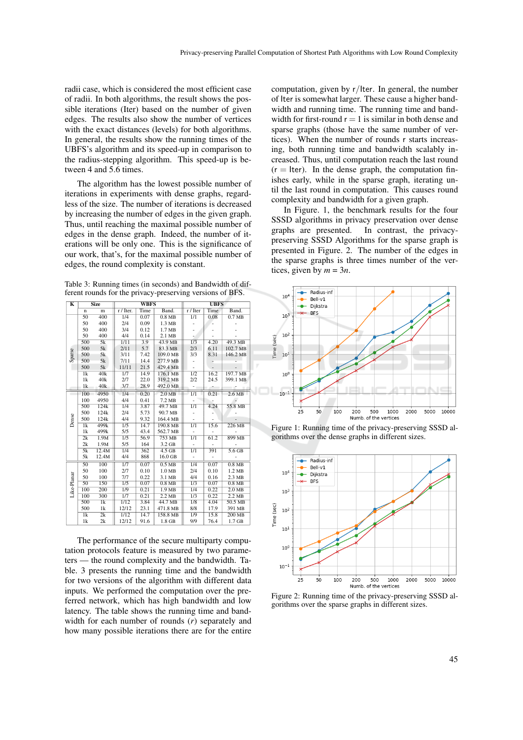radii case, which is considered the most efficient case of radii. In both algorithms, the result shows the possible iterations (Iter) based on the number of given edges. The results also show the number of vertices with the exact distances (levels) for both algorithms. In general, the results show the running times of the UBFS's algorithm and its speed-up in comparison to the radius-stepping algorithm. This speed-up is between 4 and 5.6 times.

The algorithm has the lowest possible number of iterations in experiments with dense graphs, regardless of the size. The number of iterations is decreased by increasing the number of edges in the given graph. Thus, until reaching the maximal possible number of edges in the dense graph. Indeed, the number of iterations will be only one. This is the significance of our work, that's, for the maximal possible number of edges, the round complexity is constant.

Table 3: Running times (in seconds) and Bandwidth of different rounds for the privacy-preserving versions of BFS.

| K           | <b>Size</b>              |                  |                  | <b>WBFS</b> |                   | <b>UBFS</b>      |      |                   |  |
|-------------|--------------------------|------------------|------------------|-------------|-------------------|------------------|------|-------------------|--|
|             | $\mathbf n$              | m                | r / Iter.        | Time        | Band.             | r / Iter         | Time | Band.             |  |
|             | 50                       | 400              | 1/4              | 0.07        | $0.8$ MB          | 1/1              | 0.08 | 0.7 <sub>MB</sub> |  |
|             | 50                       | 400              | 2/4              | 0.09        | 1.3 MB            |                  |      |                   |  |
|             | 50                       | 400              | 3/4              | 0.12        | 1.7 MB            |                  |      |                   |  |
|             | 50                       | 400              | 4/4              | 0.14        | 2.1 MB            |                  |      |                   |  |
|             | 500                      | 5k               | 1/11             | 3.9         | 43.9 MB           | 1/3              | 4.20 | 49.3 MB           |  |
|             | 500                      | 5k               | 2/11             | 5.7         | 83.3 MB           | 2/3              | 6.11 | 102.7 MB          |  |
| Sparse      | 500                      | 5k               | 3/11             | 7.42        | 109.0 MB          | 3/3              | 8.31 | 146.2 MB          |  |
|             | 500                      | 5k               | 7/11             | 14.4        | 277.9 MB          |                  |      |                   |  |
|             | 500                      | 5k               | 11/11            | 21.5        | 429.4 MB          | $\overline{a}$   |      |                   |  |
|             | $\overline{1k}$          | 40k              | 1/7              | 14.9        | 176.1 MB          | $\overline{1/2}$ | 16.2 | 197.7 MB          |  |
|             | 1k                       | 40k              | 2/7              | 22.0        | 319.2 MB          | 2/2              | 24.5 | 399.1 MB          |  |
|             | 1k                       | 40k              | 3/7              | 28.9        | 492.0 MB          |                  |      |                   |  |
|             | 100                      | 4950             | 1/4              | 0.20        | 2.0 <sub>MB</sub> | 1/1              | 0.21 | 2.6MB             |  |
|             | 100                      | 4950             | 4/4              | 0.41        | 7.2 MB            |                  |      |                   |  |
|             | 500                      | 124k             | 1/4              | 3.87        | 49.7 MB           | 1/1              | 4.24 | 55.8 MB           |  |
|             | 500                      | 124k             | 2/4              | 5.73        | 90.7 MB           |                  |      |                   |  |
| Dense       | 500                      | 124k             | 4/4              | 9.32        | 164.4 MB          |                  |      |                   |  |
|             | $\overline{1\mathrm{k}}$ | 499 <sub>k</sub> | $\overline{1/5}$ | 14.7        | $190.8$ MB        | $\overline{1/1}$ | 15.6 | 226 MB            |  |
|             | 1k                       | 499k             | 5/5              | 43.4        | 562.7 MB          |                  |      |                   |  |
|             | $\overline{2k}$          | 1.9M             | 1/5              | 56.9        | 753 MB            | $\overline{1/1}$ | 61.2 | 899 MB            |  |
|             | 2k                       | 1.9M             | 5/5              | 164         | 3.2 GB            |                  |      |                   |  |
|             | 5k                       | 12.4M            | $\overline{1/4}$ | 362         | $4.5$ GB          | $\overline{1/1}$ | 391  | 5.6 <sub>GB</sub> |  |
|             | 5k                       | 12.4M            | 4/4              | 868         | 16.0 GB           |                  |      |                   |  |
|             | 50                       | 100              | 1/7              | 0.07        | 0.5 <sub>MB</sub> | 1/4              | 0.07 | $0.8$ MB          |  |
|             | 50                       | 100              | 2/7              | 0.10        | 1.0 <sub>MB</sub> | 2/4              | 0.10 | 1.2 MB            |  |
| Like-Planar | 50                       | 100              | 7/7              | 0.22        | 3.1 MB            | 4/4              | 0.16 | 2.3 MB            |  |
|             | 50                       | 150              | 1/5              | 0.07        | 0.8 <sub>MB</sub> | $\overline{1/3}$ | 0.07 | 0.8 <sub>MB</sub> |  |
|             | 100                      | 200              | $\overline{1/9}$ | 0.21        | 1.9 <sub>MB</sub> | 1/4              | 0.22 | 2.0 <sub>MB</sub> |  |
|             | 100                      | 300              | $\overline{1/7}$ | 0.21        | $2.2 \text{ MB}$  | $\overline{1/3}$ | 0.22 | $2.2 \text{ MB}$  |  |
|             | 500                      | $\overline{1k}$  | $\frac{1}{12}$   | 3.84        | 44.7 MB           | $\overline{1/8}$ | 4.04 | $50.5$ MB         |  |
|             | 500                      | 1k               | 12/12            | 23.1        | 471.8 MB          | 8/8              | 17.9 | 391 MB            |  |
|             | 1k                       | $\overline{2k}$  | 1/12             | 14.7        | 158.8 MB          | 1/9              | 15.8 | $200$ MB          |  |
|             | 1k                       | 2k               | 12/12            | 91.6        | $1.8$ GB          | 9/9              | 76.4 | 1.7 <sub>GB</sub> |  |

The performance of the secure multiparty computation protocols feature is measured by two parameters — the round complexity and the bandwidth. Table. 3 presents the running time and the bandwidth for two versions of the algorithm with different data inputs. We performed the computation over the preferred network, which has high bandwidth and low latency. The table shows the running time and bandwidth for each number of rounds (*r*) separately and how many possible iterations there are for the entire

computation, given by r/Iter. In general, the number of Iter is somewhat larger. These cause a higher bandwidth and running time. The running time and bandwidth for first-round  $r = 1$  is similar in both dense and sparse graphs (those have the same number of vertices). When the number of rounds r starts increasing, both running time and bandwidth scalably increased. Thus, until computation reach the last round  $(r =$  Iter). In the dense graph, the computation finishes early, while in the sparse graph, iterating until the last round in computation. This causes round complexity and bandwidth for a given graph.

In Figure. 1, the benchmark results for the four SSSD algorithms in privacy preservation over dense graphs are presented. In contrast, the privacypreserving SSSD Algorithms for the sparse graph is presented in Figure. 2. The number of the edges in the sparse graphs is three times number of the vertices, given by  $m = 3n$ .



Figure 1: Running time of the privacy-preserving SSSD algorithms over the dense graphs in different sizes.



Figure 2: Running time of the privacy-preserving SSSD algorithms over the sparse graphs in different sizes.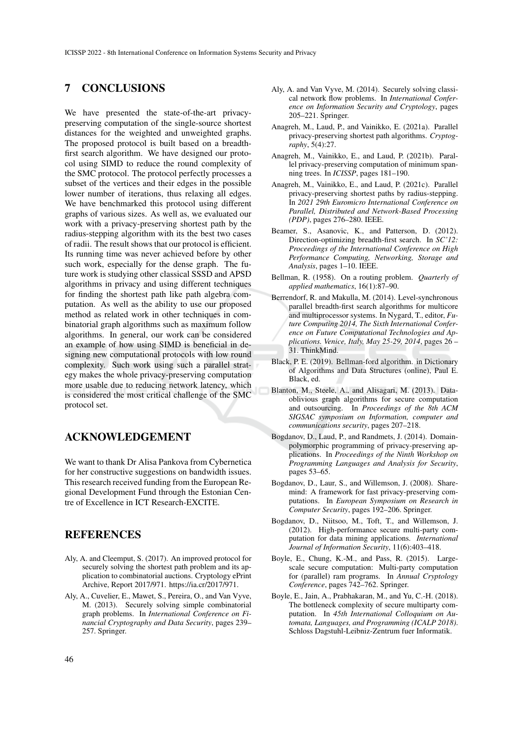### 7 CONCLUSIONS

We have presented the state-of-the-art privacypreserving computation of the single-source shortest distances for the weighted and unweighted graphs. The proposed protocol is built based on a breadthfirst search algorithm. We have designed our protocol using SIMD to reduce the round complexity of the SMC protocol. The protocol perfectly processes a subset of the vertices and their edges in the possible lower number of iterations, thus relaxing all edges. We have benchmarked this protocol using different graphs of various sizes. As well as, we evaluated our work with a privacy-preserving shortest path by the radius-stepping algorithm with its the best two cases of radii. The result shows that our protocol is efficient. Its running time was never achieved before by other such work, especially for the dense graph. The future work is studying other classical SSSD and APSD algorithms in privacy and using different techniques for finding the shortest path like path algebra computation. As well as the ability to use our proposed method as related work in other techniques in combinatorial graph algorithms such as maximum follow algorithms. In general, our work can be considered an example of how using SIMD is beneficial in designing new computational protocols with low round complexity. Such work using such a parallel strategy makes the whole privacy-preserving computation more usable due to reducing network latency, which is considered the most critical challenge of the SMC protocol set.

## ACKNOWLEDGEMENT

We want to thank Dr Alisa Pankova from Cybernetica for her constructive suggestions on bandwidth issues. This research received funding from the European Regional Development Fund through the Estonian Centre of Excellence in ICT Research-EXCITE.

### **REFERENCES**

- Aly, A. and Cleemput, S. (2017). An improved protocol for securely solving the shortest path problem and its application to combinatorial auctions. Cryptology ePrint Archive, Report 2017/971. https://ia.cr/2017/971.
- Aly, A., Cuvelier, E., Mawet, S., Pereira, O., and Van Vyve, M. (2013). Securely solving simple combinatorial graph problems. In *International Conference on Financial Cryptography and Data Security*, pages 239– 257. Springer.
- Aly, A. and Van Vyve, M. (2014). Securely solving classical network flow problems. In *International Conference on Information Security and Cryptology*, pages 205–221. Springer.
- Anagreh, M., Laud, P., and Vainikko, E. (2021a). Parallel privacy-preserving shortest path algorithms. *Cryptography*, 5(4):27.
- Anagreh, M., Vainikko, E., and Laud, P. (2021b). Parallel privacy-preserving computation of minimum spanning trees. In *ICISSP*, pages 181–190.
- Anagreh, M., Vainikko, E., and Laud, P. (2021c). Parallel privacy-preserving shortest paths by radius-stepping. In *2021 29th Euromicro International Conference on Parallel, Distributed and Network-Based Processing (PDP)*, pages 276–280. IEEE.
- Beamer, S., Asanovic, K., and Patterson, D. (2012). Direction-optimizing breadth-first search. In *SC'12: Proceedings of the International Conference on High Performance Computing, Networking, Storage and Analysis*, pages 1–10. IEEE.
- Bellman, R. (1958). On a routing problem. *Quarterly of applied mathematics*, 16(1):87–90.
- Berrendorf, R. and Makulla, M. (2014). Level-synchronous parallel breadth-first search algorithms for multicore and multiprocessor systems. In Nygard, T., editor, *Future Computing 2014, The Sixth International Conference on Future Computational Technologies and Applications. Venice, Italy, May 25-29, 2014*, pages 26 – 31. ThinkMind.
- Black, P. E. (2019). Bellman-ford algorithm. in Dictionary of Algorithms and Data Structures (online), Paul E. Black, ed.
- Blanton, M., Steele, A., and Alisagari, M. (2013). Dataoblivious graph algorithms for secure computation and outsourcing. In *Proceedings of the 8th ACM SIGSAC symposium on Information, computer and communications security*, pages 207–218.
- Bogdanov, D., Laud, P., and Randmets, J. (2014). Domainpolymorphic programming of privacy-preserving applications. In *Proceedings of the Ninth Workshop on Programming Languages and Analysis for Security*, pages 53–65.
- Bogdanov, D., Laur, S., and Willemson, J. (2008). Sharemind: A framework for fast privacy-preserving computations. In *European Symposium on Research in Computer Security*, pages 192–206. Springer.
- Bogdanov, D., Niitsoo, M., Toft, T., and Willemson, J. (2012). High-performance secure multi-party computation for data mining applications. *International Journal of Information Security*, 11(6):403–418.
- Boyle, E., Chung, K.-M., and Pass, R. (2015). Largescale secure computation: Multi-party computation for (parallel) ram programs. In *Annual Cryptology Conference*, pages 742–762. Springer.
- Boyle, E., Jain, A., Prabhakaran, M., and Yu, C.-H. (2018). The bottleneck complexity of secure multiparty computation. In *45th International Colloquium on Automata, Languages, and Programming (ICALP 2018)*. Schloss Dagstuhl-Leibniz-Zentrum fuer Informatik.